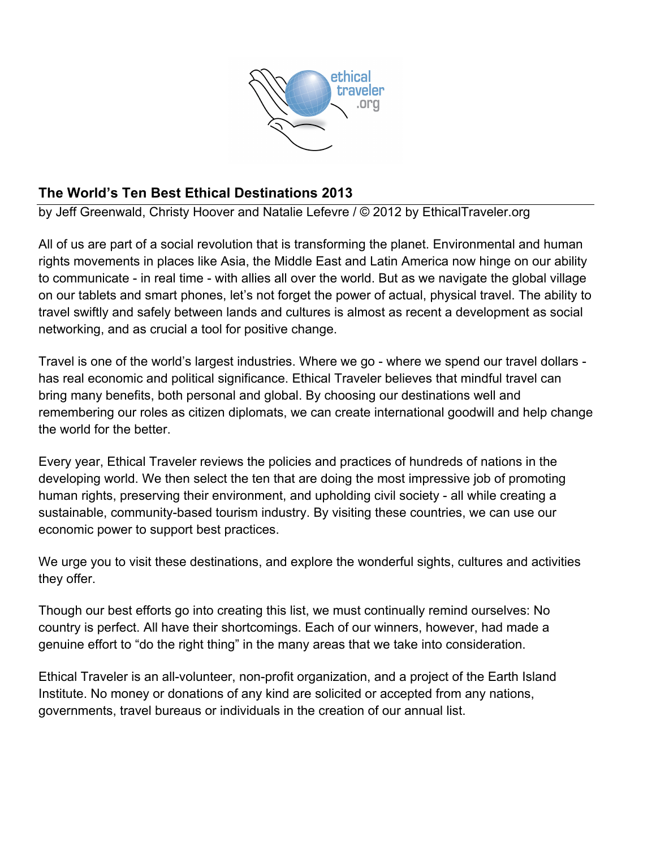

# **The World's Ten Best Ethical Destinations 2013**

by Jeff Greenwald, Christy Hoover and Natalie Lefevre / © 2012 by EthicalTraveler.org

All of us are part of a social revolution that is transforming the planet. Environmental and human rights movements in places like Asia, the Middle East and Latin America now hinge on our ability to communicate - in real time - with allies all over the world. But as we navigate the global village on our tablets and smart phones, let's not forget the power of actual, physical travel. The ability to travel swiftly and safely between lands and cultures is almost as recent a development as social networking, and as crucial a tool for positive change.

Travel is one of the world's largest industries. Where we go - where we spend our travel dollars has real economic and political significance. Ethical Traveler believes that mindful travel can bring many benefits, both personal and global. By choosing our destinations well and remembering our roles as citizen diplomats, we can create international goodwill and help change the world for the better.

Every year, Ethical Traveler reviews the policies and practices of hundreds of nations in the developing world. We then select the ten that are doing the most impressive job of promoting human rights, preserving their environment, and upholding civil society - all while creating a sustainable, community-based tourism industry. By visiting these countries, we can use our economic power to support best practices.

We urge you to visit these destinations, and explore the wonderful sights, cultures and activities they offer.

Though our best efforts go into creating this list, we must continually remind ourselves: No country is perfect. All have their shortcomings. Each of our winners, however, had made a genuine effort to "do the right thing" in the many areas that we take into consideration.

Ethical Traveler is an all-volunteer, non-profit organization, and a project of the Earth Island Institute. No money or donations of any kind are solicited or accepted from any nations, governments, travel bureaus or individuals in the creation of our annual list.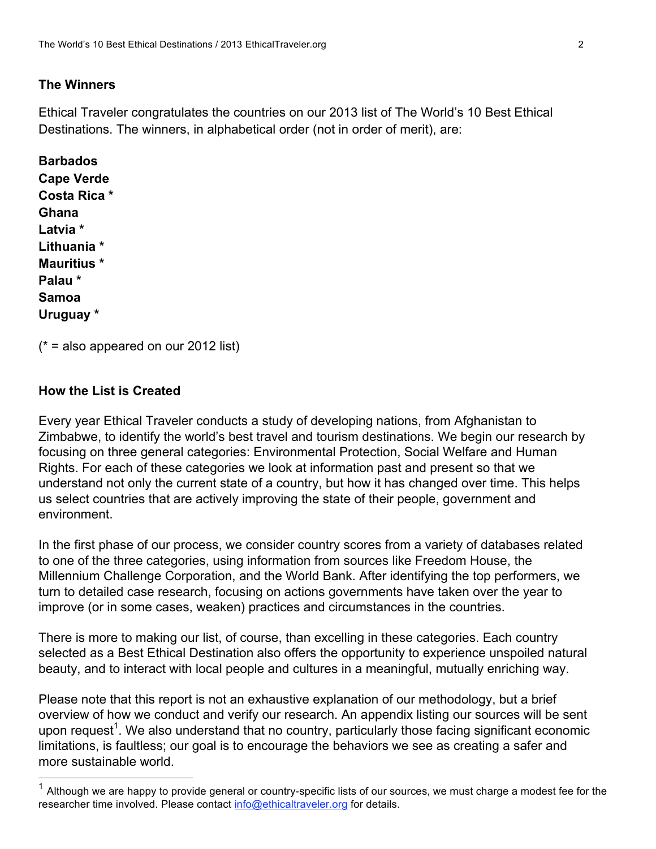# **The Winners**

Ethical Traveler congratulates the countries on our 2013 list of The World's 10 Best Ethical Destinations. The winners, in alphabetical order (not in order of merit), are:

**Barbados Cape Verde Costa Rica \* Ghana Latvia \* Lithuania \* Mauritius \* Palau \* Samoa Uruguay \*** 

 $(* = also appeared on our 2012 list)$ 

## **How the List is Created**

Every year Ethical Traveler conducts a study of developing nations, from Afghanistan to Zimbabwe, to identify the world's best travel and tourism destinations. We begin our research by focusing on three general categories: Environmental Protection, Social Welfare and Human Rights. For each of these categories we look at information past and present so that we understand not only the current state of a country, but how it has changed over time. This helps us select countries that are actively improving the state of their people, government and environment.

In the first phase of our process, we consider country scores from a variety of databases related to one of the three categories, using information from sources like Freedom House, the Millennium Challenge Corporation, and the World Bank. After identifying the top performers, we turn to detailed case research, focusing on actions governments have taken over the year to improve (or in some cases, weaken) practices and circumstances in the countries.

There is more to making our list, of course, than excelling in these categories. Each country selected as a Best Ethical Destination also offers the opportunity to experience unspoiled natural beauty, and to interact with local people and cultures in a meaningful, mutually enriching way.

Please note that this report is not an exhaustive explanation of our methodology, but a brief overview of how we conduct and verify our research. An appendix listing our sources will be sent upon request<sup>1</sup>. We also understand that no country, particularly those facing significant economic limitations, is faultless; our goal is to encourage the behaviors we see as creating a safer and more sustainable world.

Although we are happy to provide general or country-specific lists of our sources, we must charge a modest fee for the researcher time involved. Please contact info@ethicaltraveler.org for details.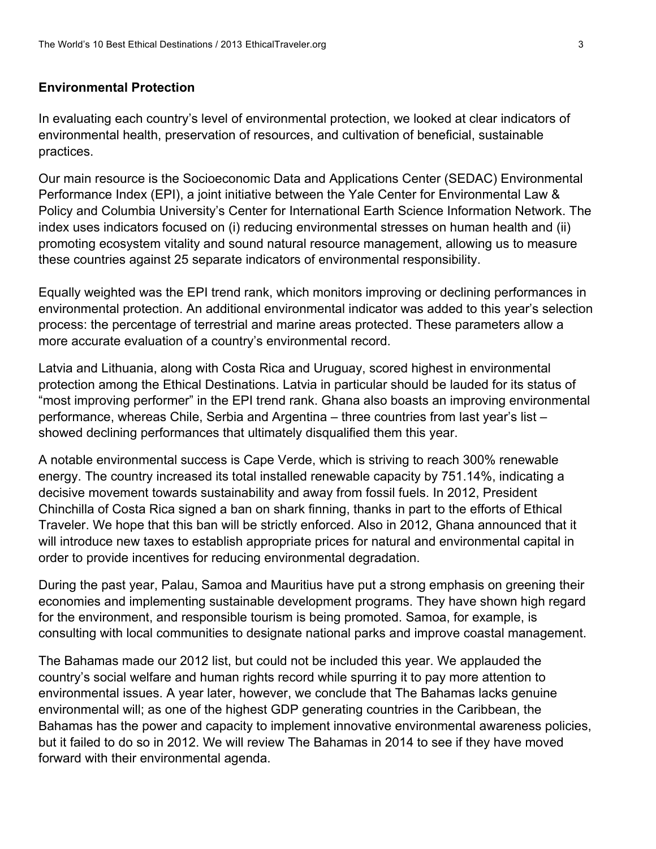### **Environmental Protection**

In evaluating each country's level of environmental protection, we looked at clear indicators of environmental health, preservation of resources, and cultivation of beneficial, sustainable practices.

Our main resource is the Socioeconomic Data and Applications Center (SEDAC) Environmental Performance Index (EPI), a joint initiative between the Yale Center for Environmental Law & Policy and Columbia University's Center for International Earth Science Information Network. The index uses indicators focused on (i) reducing environmental stresses on human health and (ii) promoting ecosystem vitality and sound natural resource management, allowing us to measure these countries against 25 separate indicators of environmental responsibility.

Equally weighted was the EPI trend rank, which monitors improving or declining performances in environmental protection. An additional environmental indicator was added to this year's selection process: the percentage of terrestrial and marine areas protected. These parameters allow a more accurate evaluation of a country's environmental record.

Latvia and Lithuania, along with Costa Rica and Uruguay, scored highest in environmental protection among the Ethical Destinations. Latvia in particular should be lauded for its status of "most improving performer" in the EPI trend rank. Ghana also boasts an improving environmental performance, whereas Chile, Serbia and Argentina – three countries from last year's list – showed declining performances that ultimately disqualified them this year.

A notable environmental success is Cape Verde, which is striving to reach 300% renewable energy. The country increased its total installed renewable capacity by 751.14%, indicating a decisive movement towards sustainability and away from fossil fuels. In 2012, President Chinchilla of Costa Rica signed a ban on shark finning, thanks in part to the efforts of Ethical Traveler. We hope that this ban will be strictly enforced. Also in 2012, Ghana announced that it will introduce new taxes to establish appropriate prices for natural and environmental capital in order to provide incentives for reducing environmental degradation.

During the past year, Palau, Samoa and Mauritius have put a strong emphasis on greening their economies and implementing sustainable development programs. They have shown high regard for the environment, and responsible tourism is being promoted. Samoa, for example, is consulting with local communities to designate national parks and improve coastal management.

The Bahamas made our 2012 list, but could not be included this year. We applauded the country's social welfare and human rights record while spurring it to pay more attention to environmental issues. A year later, however, we conclude that The Bahamas lacks genuine environmental will; as one of the highest GDP generating countries in the Caribbean, the Bahamas has the power and capacity to implement innovative environmental awareness policies, but it failed to do so in 2012. We will review The Bahamas in 2014 to see if they have moved forward with their environmental agenda.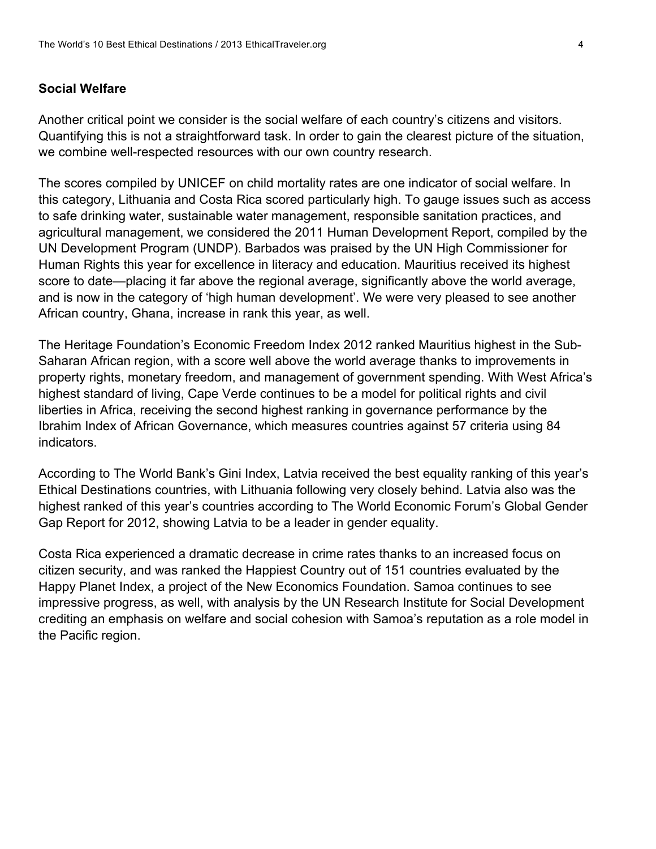### **Social Welfare**

Another critical point we consider is the social welfare of each country's citizens and visitors. Quantifying this is not a straightforward task. In order to gain the clearest picture of the situation, we combine well-respected resources with our own country research.

The scores compiled by UNICEF on child mortality rates are one indicator of social welfare. In this category, Lithuania and Costa Rica scored particularly high. To gauge issues such as access to safe drinking water, sustainable water management, responsible sanitation practices, and agricultural management, we considered the 2011 Human Development Report, compiled by the UN Development Program (UNDP). Barbados was praised by the UN High Commissioner for Human Rights this year for excellence in literacy and education. Mauritius received its highest score to date—placing it far above the regional average, significantly above the world average, and is now in the category of 'high human development'. We were very pleased to see another African country, Ghana, increase in rank this year, as well.

The Heritage Foundation's Economic Freedom Index 2012 ranked Mauritius highest in the Sub-Saharan African region, with a score well above the world average thanks to improvements in property rights, monetary freedom, and management of government spending. With West Africa's highest standard of living, Cape Verde continues to be a model for political rights and civil liberties in Africa, receiving the second highest ranking in governance performance by the Ibrahim Index of African Governance, which measures countries against 57 criteria using 84 indicators.

According to The World Bank's Gini Index, Latvia received the best equality ranking of this year's Ethical Destinations countries, with Lithuania following very closely behind. Latvia also was the highest ranked of this year's countries according to The World Economic Forum's Global Gender Gap Report for 2012, showing Latvia to be a leader in gender equality.

Costa Rica experienced a dramatic decrease in crime rates thanks to an increased focus on citizen security, and was ranked the Happiest Country out of 151 countries evaluated by the Happy Planet Index, a project of the New Economics Foundation. Samoa continues to see impressive progress, as well, with analysis by the UN Research Institute for Social Development crediting an emphasis on welfare and social cohesion with Samoa's reputation as a role model in the Pacific region.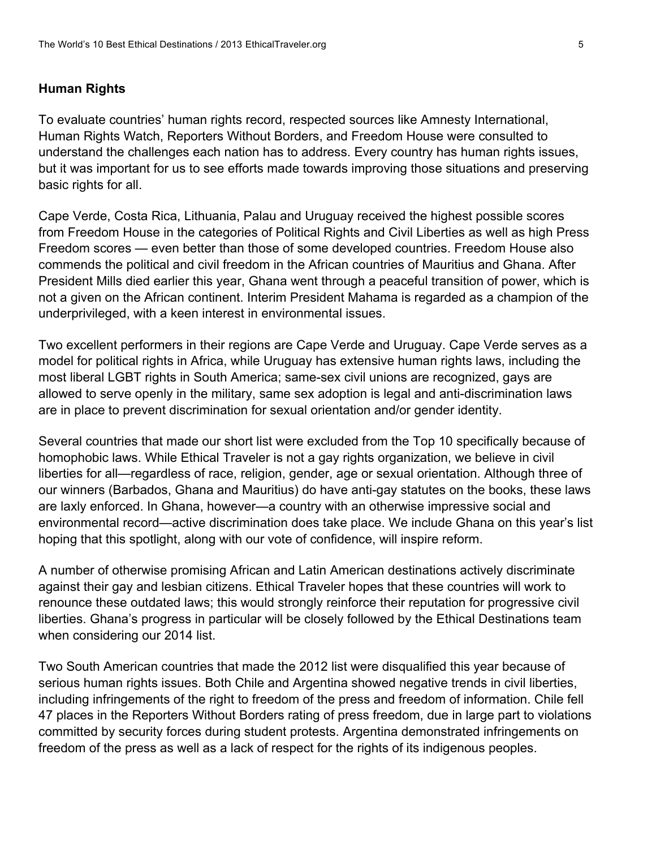### **Human Rights**

To evaluate countries' human rights record, respected sources like Amnesty International, Human Rights Watch, Reporters Without Borders, and Freedom House were consulted to understand the challenges each nation has to address. Every country has human rights issues, but it was important for us to see efforts made towards improving those situations and preserving basic rights for all.

Cape Verde, Costa Rica, Lithuania, Palau and Uruguay received the highest possible scores from Freedom House in the categories of Political Rights and Civil Liberties as well as high Press Freedom scores — even better than those of some developed countries. Freedom House also commends the political and civil freedom in the African countries of Mauritius and Ghana. After President Mills died earlier this year, Ghana went through a peaceful transition of power, which is not a given on the African continent. Interim President Mahama is regarded as a champion of the underprivileged, with a keen interest in environmental issues.

Two excellent performers in their regions are Cape Verde and Uruguay. Cape Verde serves as a model for political rights in Africa, while Uruguay has extensive human rights laws, including the most liberal LGBT rights in South America; same-sex civil unions are recognized, gays are allowed to serve openly in the military, same sex adoption is legal and anti-discrimination laws are in place to prevent discrimination for sexual orientation and/or gender identity.

Several countries that made our short list were excluded from the Top 10 specifically because of homophobic laws. While Ethical Traveler is not a gay rights organization, we believe in civil liberties for all—regardless of race, religion, gender, age or sexual orientation. Although three of our winners (Barbados, Ghana and Mauritius) do have anti-gay statutes on the books, these laws are laxly enforced. In Ghana, however—a country with an otherwise impressive social and environmental record—active discrimination does take place. We include Ghana on this year's list hoping that this spotlight, along with our vote of confidence, will inspire reform.

A number of otherwise promising African and Latin American destinations actively discriminate against their gay and lesbian citizens. Ethical Traveler hopes that these countries will work to renounce these outdated laws; this would strongly reinforce their reputation for progressive civil liberties. Ghana's progress in particular will be closely followed by the Ethical Destinations team when considering our 2014 list.

Two South American countries that made the 2012 list were disqualified this year because of serious human rights issues. Both Chile and Argentina showed negative trends in civil liberties, including infringements of the right to freedom of the press and freedom of information. Chile fell 47 places in the Reporters Without Borders rating of press freedom, due in large part to violations committed by security forces during student protests. Argentina demonstrated infringements on freedom of the press as well as a lack of respect for the rights of its indigenous peoples.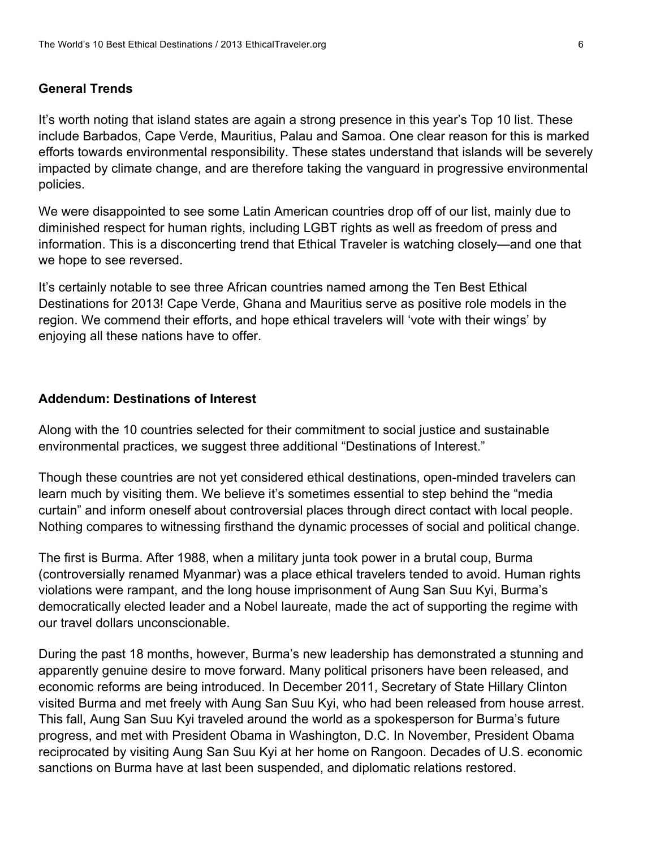### **General Trends**

It's worth noting that island states are again a strong presence in this year's Top 10 list. These include Barbados, Cape Verde, Mauritius, Palau and Samoa. One clear reason for this is marked efforts towards environmental responsibility. These states understand that islands will be severely impacted by climate change, and are therefore taking the vanguard in progressive environmental policies.

We were disappointed to see some Latin American countries drop off of our list, mainly due to diminished respect for human rights, including LGBT rights as well as freedom of press and information. This is a disconcerting trend that Ethical Traveler is watching closely—and one that we hope to see reversed.

It's certainly notable to see three African countries named among the Ten Best Ethical Destinations for 2013! Cape Verde, Ghana and Mauritius serve as positive role models in the region. We commend their efforts, and hope ethical travelers will 'vote with their wings' by enjoying all these nations have to offer.

#### **Addendum: Destinations of Interest**

Along with the 10 countries selected for their commitment to social justice and sustainable environmental practices, we suggest three additional "Destinations of Interest."

Though these countries are not yet considered ethical destinations, open-minded travelers can learn much by visiting them. We believe it's sometimes essential to step behind the "media curtain" and inform oneself about controversial places through direct contact with local people. Nothing compares to witnessing firsthand the dynamic processes of social and political change.

The first is Burma. After 1988, when a military junta took power in a brutal coup, Burma (controversially renamed Myanmar) was a place ethical travelers tended to avoid. Human rights violations were rampant, and the long house imprisonment of Aung San Suu Kyi, Burma's democratically elected leader and a Nobel laureate, made the act of supporting the regime with our travel dollars unconscionable.

During the past 18 months, however, Burma's new leadership has demonstrated a stunning and apparently genuine desire to move forward. Many political prisoners have been released, and economic reforms are being introduced. In December 2011, Secretary of State Hillary Clinton visited Burma and met freely with Aung San Suu Kyi, who had been released from house arrest. This fall, Aung San Suu Kyi traveled around the world as a spokesperson for Burma's future progress, and met with President Obama in Washington, D.C. In November, President Obama reciprocated by visiting Aung San Suu Kyi at her home on Rangoon. Decades of U.S. economic sanctions on Burma have at last been suspended, and diplomatic relations restored.